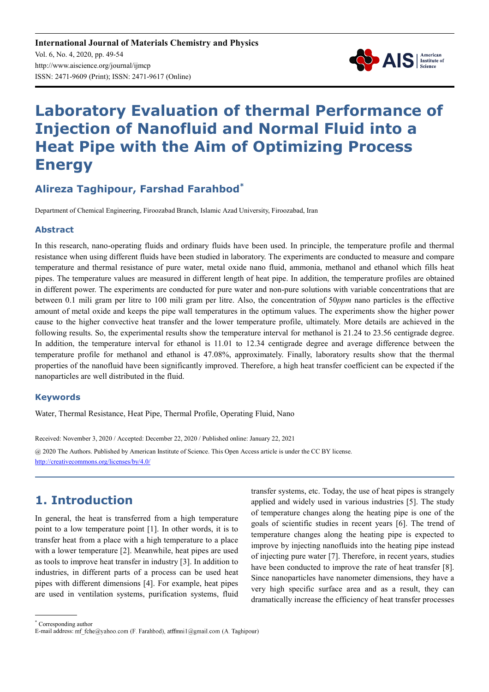**International Journal of Materials Chemistry and Physics** Vol. 6, No. 4, 2020, pp. 49-54 http://www.aiscience.org/journal/ijmcp ISSN: 2471-9609 (Print); ISSN: 2471-9617 (Online)



# **Laboratory Evaluation of thermal Performance of Injection of Nanofluid and Normal Fluid into a Heat Pipe with the Aim of Optimizing Process Energy**

### **Alireza Taghipour, Farshad Farahbod\***

Department of Chemical Engineering, Firoozabad Branch, Islamic Azad University, Firoozabad, Iran

#### **Abstract**

In this research, nano-operating fluids and ordinary fluids have been used. In principle, the temperature profile and thermal resistance when using different fluids have been studied in laboratory. The experiments are conducted to measure and compare temperature and thermal resistance of pure water, metal oxide nano fluid, ammonia, methanol and ethanol which fills heat pipes. The temperature values are measured in different length of heat pipe. In addition, the temperature profiles are obtained in different power. The experiments are conducted for pure water and non-pure solutions with variable concentrations that are between 0.1 mili gram per litre to 100 mili gram per litre. Also, the concentration of 50*ppm* nano particles is the effective amount of metal oxide and keeps the pipe wall temperatures in the optimum values. The experiments show the higher power cause to the higher convective heat transfer and the lower temperature profile, ultimately. More details are achieved in the following results. So, the experimental results show the temperature interval for methanol is 21.24 to 23.56 centigrade degree. In addition, the temperature interval for ethanol is 11.01 to 12.34 centigrade degree and average difference between the temperature profile for methanol and ethanol is 47.08%, approximately. Finally, laboratory results show that the thermal properties of the nanofluid have been significantly improved. Therefore, a high heat transfer coefficient can be expected if the nanoparticles are well distributed in the fluid.

#### **Keywords**

Water, Thermal Resistance, Heat Pipe, Thermal Profile, Operating Fluid, Nano

Received: November 3, 2020 / Accepted: December 22, 2020 / Published online: January 22, 2021

@ 2020 The Authors. Published by American Institute of Science. This Open Access article is under the CC BY license. http://creativecommons.org/licenses/by/4.0/

### **1. Introduction**

In general, the heat is transferred from a high temperature point to a low temperature point [1]. In other words, it is to transfer heat from a place with a high temperature to a place with a lower temperature [2]. Meanwhile, heat pipes are used as tools to improve heat transfer in industry [3]. In addition to industries, in different parts of a process can be used heat pipes with different dimensions [4]. For example, heat pipes are used in ventilation systems, purification systems, fluid transfer systems, etc. Today, the use of heat pipes is strangely applied and widely used in various industries [5]. The study of temperature changes along the heating pipe is one of the goals of scientific studies in recent years [6]. The trend of temperature changes along the heating pipe is expected to improve by injecting nanofluids into the heating pipe instead of injecting pure water [7]. Therefore, in recent years, studies have been conducted to improve the rate of heat transfer [8]. Since nanoparticles have nanometer dimensions, they have a very high specific surface area and as a result, they can dramatically increase the efficiency of heat transfer processes

\* Corresponding author

E-mail address: mf\_fche@yahoo.com (F. Farahbod), atffmni1@gmail.com (A. Taghipour)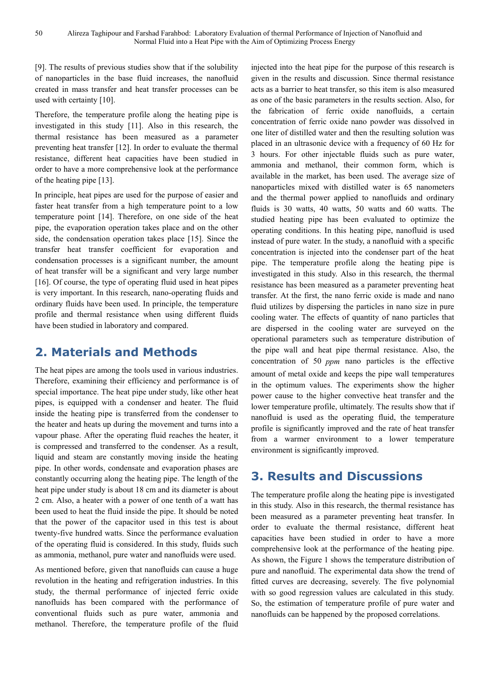[9]. The results of previous studies show that if the solubility of nanoparticles in the base fluid increases, the nanofluid created in mass transfer and heat transfer processes can be used with certainty [10].

Therefore, the temperature profile along the heating pipe is investigated in this study [11]. Also in this research, the thermal resistance has been measured as a parameter preventing heat transfer [12]. In order to evaluate the thermal resistance, different heat capacities have been studied in order to have a more comprehensive look at the performance of the heating pipe [13].

In principle, heat pipes are used for the purpose of easier and faster heat transfer from a high temperature point to a low temperature point [14]. Therefore, on one side of the heat pipe, the evaporation operation takes place and on the other side, the condensation operation takes place [15]. Since the transfer heat transfer coefficient for evaporation and condensation processes is a significant number, the amount of heat transfer will be a significant and very large number [16]. Of course, the type of operating fluid used in heat pipes is very important. In this research, nano-operating fluids and ordinary fluids have been used. In principle, the temperature profile and thermal resistance when using different fluids have been studied in laboratory and compared.

### **2. Materials and Methods**

The heat pipes are among the tools used in various industries. Therefore, examining their efficiency and performance is of special importance. The heat pipe under study, like other heat pipes, is equipped with a condenser and heater. The fluid inside the heating pipe is transferred from the condenser to the heater and heats up during the movement and turns into a vapour phase. After the operating fluid reaches the heater, it is compressed and transferred to the condenser. As a result, liquid and steam are constantly moving inside the heating pipe. In other words, condensate and evaporation phases are constantly occurring along the heating pipe. The length of the heat pipe under study is about 18 cm and its diameter is about 2 cm. Also, a heater with a power of one tenth of a watt has been used to heat the fluid inside the pipe. It should be noted that the power of the capacitor used in this test is about twenty-five hundred watts. Since the performance evaluation of the operating fluid is considered. In this study, fluids such as ammonia, methanol, pure water and nanofluids were used.

As mentioned before, given that nanofluids can cause a huge revolution in the heating and refrigeration industries. In this study, the thermal performance of injected ferric oxide nanofluids has been compared with the performance of conventional fluids such as pure water, ammonia and methanol. Therefore, the temperature profile of the fluid

injected into the heat pipe for the purpose of this research is given in the results and discussion. Since thermal resistance acts as a barrier to heat transfer, so this item is also measured as one of the basic parameters in the results section. Also, for the fabrication of ferric oxide nanofluids, a certain concentration of ferric oxide nano powder was dissolved in one liter of distilled water and then the resulting solution was placed in an ultrasonic device with a frequency of 60 Hz for 3 hours. For other injectable fluids such as pure water, ammonia and methanol, their common form, which is available in the market, has been used. The average size of nanoparticles mixed with distilled water is 65 nanometers and the thermal power applied to nanofluids and ordinary fluids is 30 watts, 40 watts, 50 watts and 60 watts. The studied heating pipe has been evaluated to optimize the operating conditions. In this heating pipe, nanofluid is used instead of pure water. In the study, a nanofluid with a specific concentration is injected into the condenser part of the heat pipe. The temperature profile along the heating pipe is investigated in this study. Also in this research, the thermal resistance has been measured as a parameter preventing heat transfer. At the first, the nano ferric oxide is made and nano fluid utilizes by dispersing the particles in nano size in pure cooling water. The effects of quantity of nano particles that are dispersed in the cooling water are surveyed on the operational parameters such as temperature distribution of the pipe wall and heat pipe thermal resistance. Also, the concentration of 50 *ppm* nano particles is the effective amount of metal oxide and keeps the pipe wall temperatures in the optimum values. The experiments show the higher power cause to the higher convective heat transfer and the lower temperature profile, ultimately. The results show that if nanofluid is used as the operating fluid, the temperature profile is significantly improved and the rate of heat transfer from a warmer environment to a lower temperature environment is significantly improved.

## **3. Results and Discussions**

The temperature profile along the heating pipe is investigated in this study. Also in this research, the thermal resistance has been measured as a parameter preventing heat transfer. In order to evaluate the thermal resistance, different heat capacities have been studied in order to have a more comprehensive look at the performance of the heating pipe. As shown, the Figure 1 shows the temperature distribution of pure and nanofluid. The experimental data show the trend of fitted curves are decreasing, severely. The five polynomial with so good regression values are calculated in this study. So, the estimation of temperature profile of pure water and nanofluids can be happened by the proposed correlations.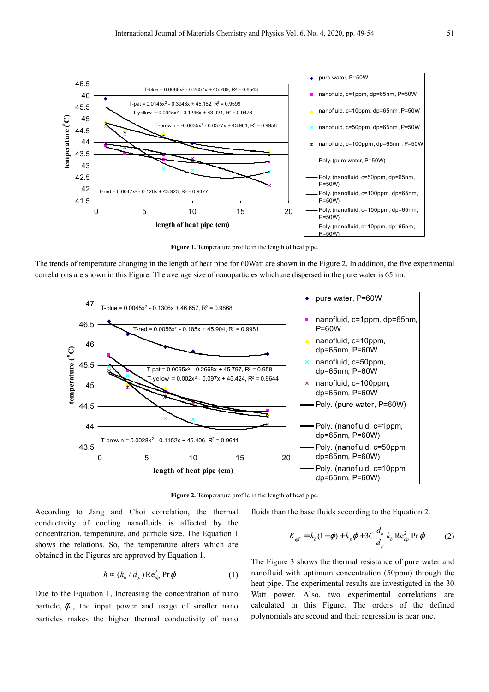

Figure 1. Temperature profile in the length of heat pipe.

The trends of temperature changing in the length of heat pipe for 60Watt are shown in the Figure 2. In addition, the five experimental correlations are shown in this Figure. The average size of nanoparticles which are dispersed in the pure water is 65nm.



**Figure 2.** Temperature profile in the length of heat pipe.

According to Jang and Choi correlation, the thermal conductivity of cooling nanofluids is affected by the concentration, temperature, and particle size. The Equation 1 shows the relations. So, the temperature alters which are obtained in the Figures are approved by Equation 1.

$$
h \propto (k_b / d_p) \operatorname{Re}_{dp}^2 \operatorname{Pr} \varphi \tag{1}
$$

Due to the Equation 1, Increasing the concentration of nano particle,  $\phi$ , the input power and usage of smaller nano particles makes the higher thermal conductivity of nano *d*

fluids than the base fluids according to the Equation 2.

$$
K_{\text{eff}} = k_b (1 - \varphi) + k_p \varphi + 3C \frac{a_b}{d_p} k_b \operatorname{Re}_{dp}^2 \operatorname{Pr} \varphi
$$
 (2)

The Figure 3 shows the thermal resistance of pure water and nanofluid with optimum concentration (50ppm) through the heat pipe. The experimental results are investigated in the 30 Watt power. Also, two experimental correlations are calculated in this Figure. The orders of the defined polynomials are second and their regression is near one.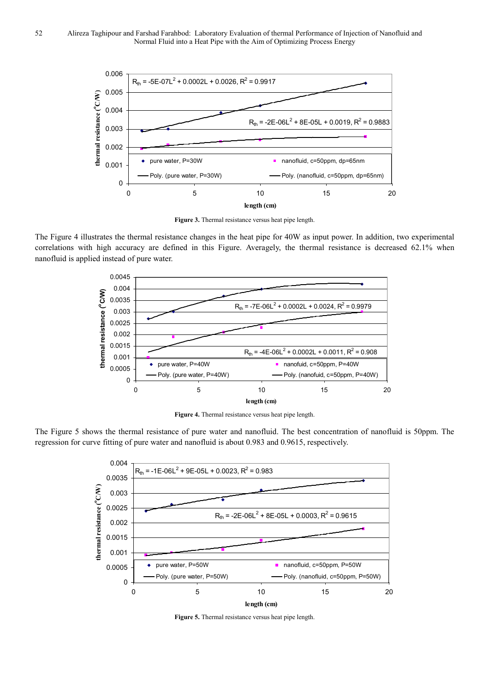

Figure 3. Thermal resistance versus heat pipe length.

The Figure 4 illustrates the thermal resistance changes in the heat pipe for 40W as input power. In addition, two experimental correlations with high accuracy are defined in this Figure. Averagely, the thermal resistance is decreased 62.1% when nanofluid is applied instead of pure water.



**Figure 4.** Thermal resistance versus heat pipe length.

The Figure 5 shows the thermal resistance of pure water and nanofluid. The best concentration of nanofluid is 50ppm. The regression for curve fitting of pure water and nanofluid is about 0.983 and 0.9615, respectively.



Figure 5. Thermal resistance versus heat pipe length.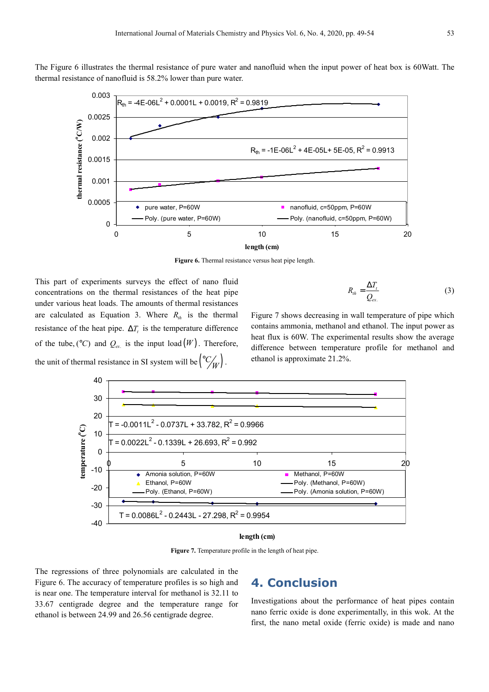The Figure 6 illustrates the thermal resistance of pure water and nanofluid when the input power of heat box is 60Watt. The thermal resistance of nanofluid is 58.2% lower than pure water.



Figure 6. Thermal resistance versus heat pipe length.

This part of experiments surveys the effect of nano fluid concentrations on the thermal resistances of the heat pipe under various heat loads. The amounts of thermal resistances are calculated as Equation 3. Where  $R<sub>th</sub>$  is the thermal resistance of the heat pipe.  $\Delta T_t$  is the temperature difference of the tube,  $({}^{\circ}C)$  and  $Q_{ex.}$  is the input load  $(W)$ . Therefore, the unit of thermal resistance in SI system will be  $\binom{\circ}{W}$ .

$$
R_{th} = \frac{\Delta T_t}{Q_{ex.}}\tag{3}
$$

Figure 7 shows decreasing in wall temperature of pipe which contains ammonia, methanol and ethanol. The input power as heat flux is 60W. The experimental results show the average difference between temperature profile for methanol and ethanol is approximate 21.2%.



#### **length (cm)**

**Figure 7.** Temperature profile in the length of heat pipe.

The regressions of three polynomials are calculated in the Figure 6. The accuracy of temperature profiles is so high and is near one. The temperature interval for methanol is 32.11 to 33.67 centigrade degree and the temperature range for ethanol is between 24.99 and 26.56 centigrade degree.

#### **4. Conclusion**

Investigations about the performance of heat pipes contain nano ferric oxide is done experimentally, in this wok. At the first, the nano metal oxide (ferric oxide) is made and nano